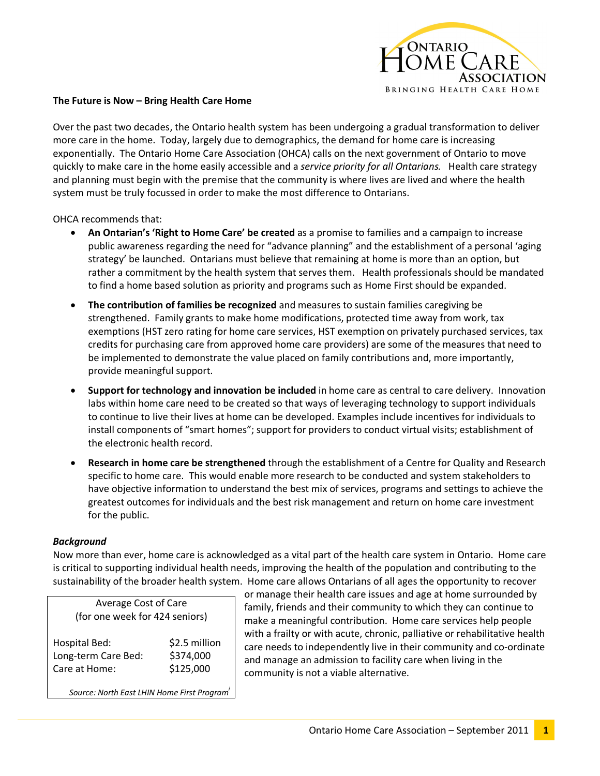

## **The Future is Now – Bring Health Care Home**

Over the past two decades, the Ontario health system has been undergoing a gradual transformation to deliver more care in the home. Today, largely due to demographics, the demand for home care is increasing exponentially. The Ontario Home Care Association (OHCA) calls on the next government of Ontario to move quickly to make care in the home easily accessible and a *service priority for all Ontarians.* Health care strategy and planning must begin with the premise that the community is where lives are lived and where the health system must be truly focussed in order to make the most difference to Ontarians.

OHCA recommends that:

- · **An Ontarian's 'Right to Home Care' be created** as a promise to families and a campaign to increase public awareness regarding the need for "advance planning" and the establishment of a personal 'aging strategy' be launched. Ontarians must believe that remaining at home is more than an option, but rather a commitment by the health system that serves them. Health professionals should be mandated to find a home based solution as priority and programs such as Home First should be expanded.
- · **The contribution of families be recognized** and measures to sustain families caregiving be strengthened. Family grants to make home modifications, protected time away from work, tax exemptions (HST zero rating for home care services, HST exemption on privately purchased services, tax credits for purchasing care from approved home care providers) are some of the measures that need to be implemented to demonstrate the value placed on family contributions and, more importantly, provide meaningful support.
- · **Support for technology and innovation be included** in home care as central to care delivery. Innovation labs within home care need to be created so that ways of leveraging technology to support individuals to continue to live their lives at home can be developed. Examples include incentives for individuals to install components of "smart homes"; support for providers to conduct virtual visits; establishment of the electronic health record.
- · **Research in home care be strengthened** through the establishment of a Centre for Quality and Research specific to home care. This would enable more research to be conducted and system stakeholders to have objective information to understand the best mix of services, programs and settings to achieve the greatest outcomes for individuals and the best risk management and return on home care investment for the public.

## *Background*

Now more than ever, home care is acknowledged as a vital part of the health care system in Ontario. Home care is critical to supporting individual health needs, improving the health of the population and contributing to the sustainability of the broader health system. Home care allows Ontarians of all ages the opportunity to recover

| Average Cost of Care<br>(for one week for 424 seniors) |               |
|--------------------------------------------------------|---------------|
| <b>Hospital Bed:</b>                                   | \$2.5 million |
| Long-term Care Bed:                                    | \$374,000     |
| Care at Home:                                          | \$125,000     |

*Source: North East LHIN Home First Programi*

or manage their health care issues and age at home surrounded by family, friends and their community to which they can continue to make a meaningful contribution. Home care services help people with a frailty or with acute, chronic, palliative or rehabilitative health care needs to independently live in their community and co-ordinate and manage an admission to facility care when living in the community is not a viable alternative.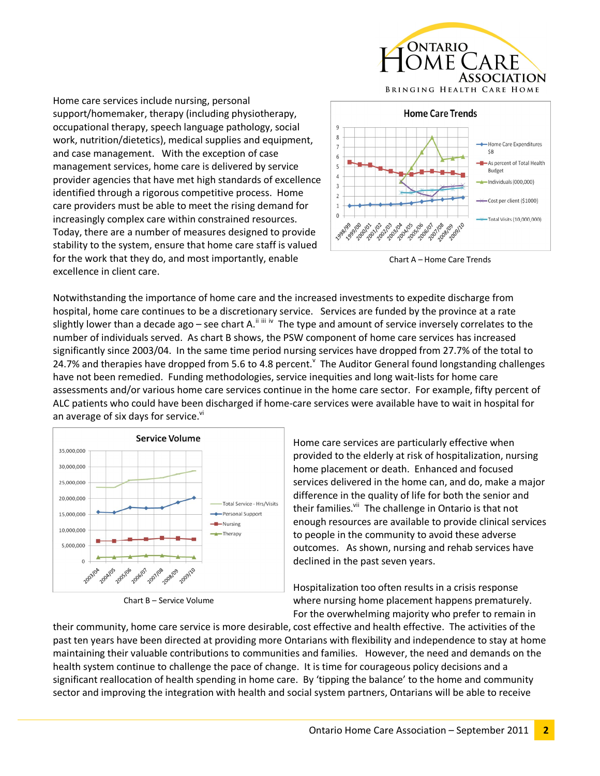

Home care services include nursing, personal support/homemaker, therapy (including physiotherapy, occupational therapy, speech language pathology, social work, nutrition/dietetics), medical supplies and equipment, and case management. With the exception of case management services, home care is delivered by service provider agencies that have met high standards of excellence identified through a rigorous competitive process. Home care providers must be able to meet the rising demand for increasingly complex care within constrained resources. Today, there are a number of measures designed to provide stability to the system, ensure that home care staff is valued for the work that they do, and most importantly, enable excellence in client care.



Chart A – Home Care Trends

Notwithstanding the importance of home care and the increased investments to expedite discharge from hospital, home care continues to be a discretionary service. Services are funded by the province at a rate slightly lower than a decade ago – see chart A.<sup>ii iii iv</sup> The type and amount of service inversely correlates to the number of individuals served. As chart B shows, the PSW component of home care services has increased significantly since 2003/04. In the same time period nursing services have dropped from 27.7% of the total to 24.7% and therapies have dropped from 5.6 to 4.8 percent.  $\check{ }$  The Auditor General found longstanding challenges have not been remedied. Funding methodologies, service inequities and long wait-lists for home care assessments and/or various home care services continue in the home care sector. For example, fifty percent of ALC patients who could have been discharged if home-care services were available have to wait in hospital for an average of six days for service.<sup>vi</sup>



Chart B – Service Volume

Home care services are particularly effective when provided to the elderly at risk of hospitalization, nursing home placement or death. Enhanced and focused services delivered in the home can, and do, make a major difference in the quality of life for both the senior and their families.<sup>vii</sup> The challenge in Ontario is that not enough resources are available to provide clinical services to people in the community to avoid these adverse outcomes. As shown, nursing and rehab services have declined in the past seven years.

Hospitalization too often results in a crisis response where nursing home placement happens prematurely. For the overwhelming majority who prefer to remain in

their community, home care service is more desirable, cost effective and health effective. The activities of the past ten years have been directed at providing more Ontarians with flexibility and independence to stay at home maintaining their valuable contributions to communities and families. However, the need and demands on the health system continue to challenge the pace of change. It is time for courageous policy decisions and a significant reallocation of health spending in home care. By 'tipping the balance' to the home and community sector and improving the integration with health and social system partners, Ontarians will be able to receive